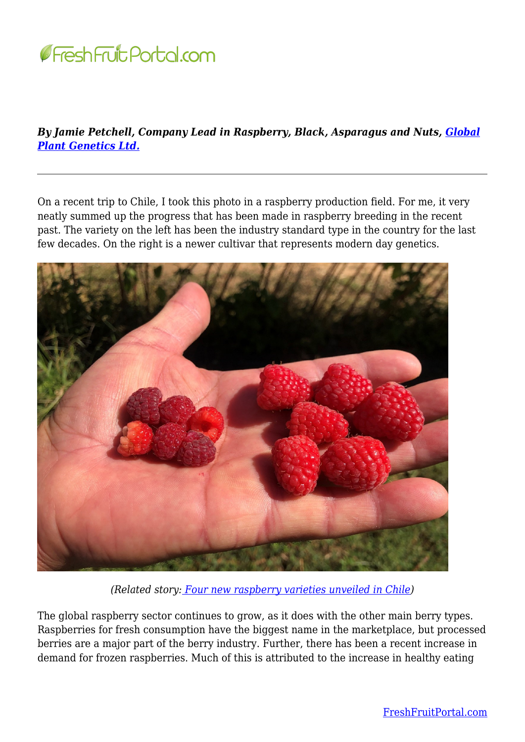

## *By Jamie Petchell, Company Lead in Raspberry, Black, Asparagus and Nuts, [Global](https://www.globalplantgenetics.com/) [Plant Genetics Ltd.](https://www.globalplantgenetics.com/)*

On a recent trip to Chile, I took this photo in a raspberry production field. For me, it very neatly summed up the progress that has been made in raspberry breeding in the recent past. The variety on the left has been the industry standard type in the country for the last few decades. On the right is a newer cultivar that represents modern day genetics.



*(Related story[: Four new raspberry varieties unveiled in Chile\)](https://www.freshfruitportal.com/news/2022/04/01/four-new-raspberry-varieties-unveiled-in-chile/)*

The global raspberry sector continues to grow, as it does with the other main berry types. Raspberries for fresh consumption have the biggest name in the marketplace, but processed berries are a major part of the berry industry. Further, there has been a recent increase in demand for frozen raspberries. Much of this is attributed to the increase in healthy eating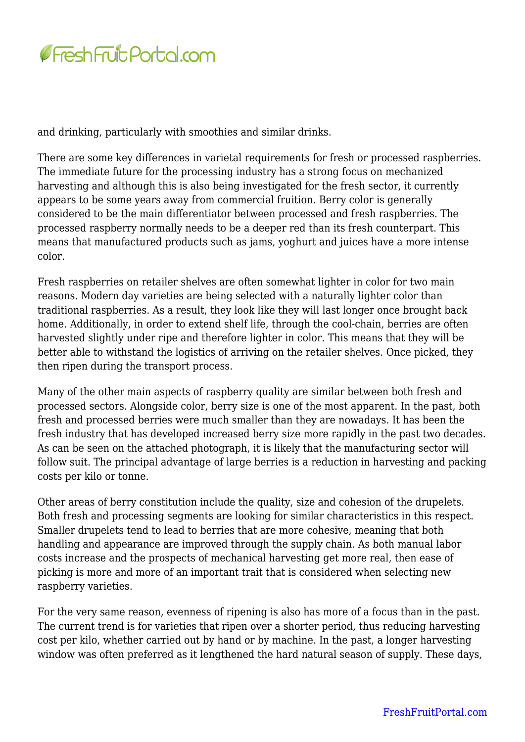

and drinking, particularly with smoothies and similar drinks.

There are some key differences in varietal requirements for fresh or processed raspberries. The immediate future for the processing industry has a strong focus on mechanized harvesting and although this is also being investigated for the fresh sector, it currently appears to be some years away from commercial fruition. Berry color is generally considered to be the main differentiator between processed and fresh raspberries. The processed raspberry normally needs to be a deeper red than its fresh counterpart. This means that manufactured products such as jams, yoghurt and juices have a more intense color.

Fresh raspberries on retailer shelves are often somewhat lighter in color for two main reasons. Modern day varieties are being selected with a naturally lighter color than traditional raspberries. As a result, they look like they will last longer once brought back home. Additionally, in order to extend shelf life, through the cool-chain, berries are often harvested slightly under ripe and therefore lighter in color. This means that they will be better able to withstand the logistics of arriving on the retailer shelves. Once picked, they then ripen during the transport process.

Many of the other main aspects of raspberry quality are similar between both fresh and processed sectors. Alongside color, berry size is one of the most apparent. In the past, both fresh and processed berries were much smaller than they are nowadays. It has been the fresh industry that has developed increased berry size more rapidly in the past two decades. As can be seen on the attached photograph, it is likely that the manufacturing sector will follow suit. The principal advantage of large berries is a reduction in harvesting and packing costs per kilo or tonne.

Other areas of berry constitution include the quality, size and cohesion of the drupelets. Both fresh and processing segments are looking for similar characteristics in this respect. Smaller drupelets tend to lead to berries that are more cohesive, meaning that both handling and appearance are improved through the supply chain. As both manual labor costs increase and the prospects of mechanical harvesting get more real, then ease of picking is more and more of an important trait that is considered when selecting new raspberry varieties.

For the very same reason, evenness of ripening is also has more of a focus than in the past. The current trend is for varieties that ripen over a shorter period, thus reducing harvesting cost per kilo, whether carried out by hand or by machine. In the past, a longer harvesting window was often preferred as it lengthened the hard natural season of supply. These days,